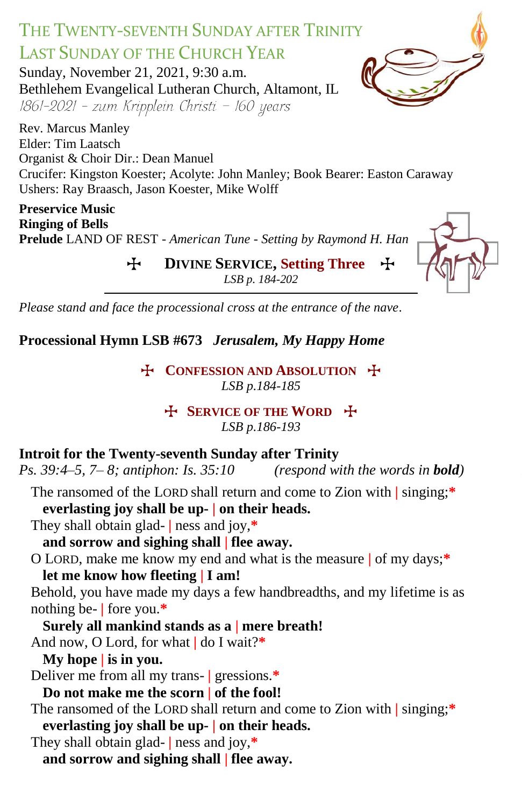# THE TWENTY-SEVENTH SUNDAY AFTER TRINITY LAST SUNDAY OF THE CHURCH YEAR

Sunday, November 21, 2021, 9:30 a.m. Bethlehem Evangelical Lutheran Church, Altamont, IL 1861-2021 - zum Kripplein Christi - 160 years

Rev. Marcus Manley Elder: Tim Laatsch Organist & Choir Dir.: Dean Manuel Crucifer: Kingston Koester; Acolyte: John Manley; Book Bearer: Easton Caraway Ushers: Ray Braasch, Jason Koester, Mike Wolff

**Preservice Music Ringing of Bells Prelude** LAND OF REST *- American Tune - Setting by Raymond H. Han*

> T **DIVINE SERVICE, Setting Three** T *LSB p. 184-202*

*Please stand and face the processional cross at the entrance of the nave.*

**Processional Hymn LSB #673** *Jerusalem, My Happy Home*

T **CONFESSION AND ABSOLUTION** T *LSB p.184-185*

> **EXPRICE OF THE WORD F** *LSB p.186-193*

#### **Introit for the Twenty-seventh Sunday after Trinity**

*Ps.* 39:4–5, 7–8; antiphon: Is. 35:10 (respond with the words in **bold**)

- The ransomed of the LORD shall return and come to Zion with **|** singing;**\* everlasting joy shall be up- | on their heads.**
- They shall obtain glad- **|** ness and joy,**\* and sorrow and sighing shall | flee away.**
- O LORD, make me know my end and what is the measure **|** of my days;**\* let me know how fleeting | I am!**

Behold, you have made my days a few handbreadths, and my lifetime is as nothing be- **|** fore you.**\***

**Surely all mankind stands as a | mere breath!**

- And now, O Lord, for what **|** do I wait?**\***
	- **My hope | is in you.**

Deliver me from all my trans- **|** gressions.**\***

- **Do not make me the scorn | of the fool!**
- The ransomed of the LORD shall return and come to Zion with **|** singing;**\* everlasting joy shall be up- | on their heads.**
- They shall obtain glad- **|** ness and joy,**\***
	- **and sorrow and sighing shall | flee away.**



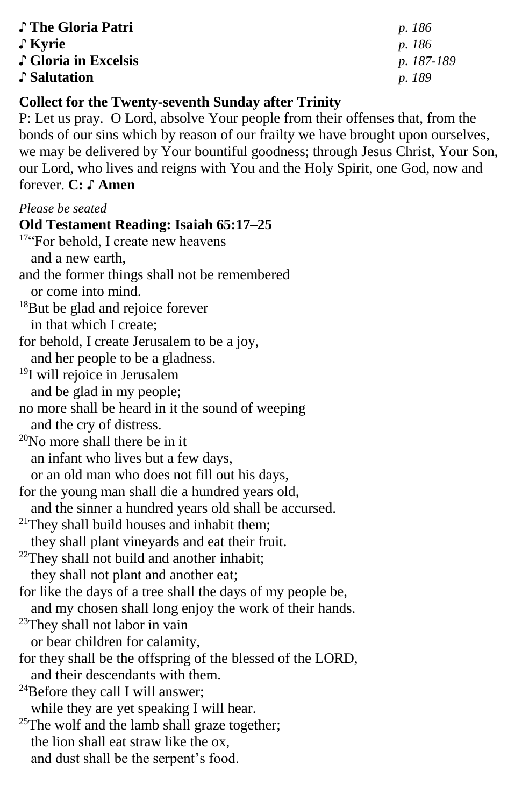| ↓ The Gloria Patri   | p. 186        |
|----------------------|---------------|
| $\int$ Kyrie         | <i>p.</i> 186 |
| ↓ Gloria in Excelsis | p. 187-189    |
| Salutation           | <i>p.</i> 189 |

#### **Collect for the Twenty-seventh Sunday after Trinity**

P: Let us pray. O Lord, absolve Your people from their offenses that, from the bonds of our sins which by reason of our frailty we have brought upon ourselves, we may be delivered by Your bountiful goodness; through Jesus Christ, Your Son, our Lord, who lives and reigns with You and the Holy Spirit, one God, now and forever. **C: ♪ Amen**

#### *Please be seated*

# **Old Testament Reading: Isaiah 65:17–25** <sup>17"</sup>For behold, I create new heavens and a new earth, and the former things shall not be remembered or come into mind. <sup>18</sup>But be glad and rejoice forever in that which I create; for behold, I create Jerusalem to be a joy, and her people to be a gladness. <sup>19</sup>I will rejoice in Jerusalem and be glad in my people; no more shall be heard in it the sound of weeping and the cry of distress. <sup>20</sup>No more shall there be in it an infant who lives but a few days, or an old man who does not fill out his days, for the young man shall die a hundred years old, and the sinner a hundred years old shall be accursed.  $21$ They shall build houses and inhabit them; they shall plant vineyards and eat their fruit. <sup>22</sup>They shall not build and another inhabit; they shall not plant and another eat; for like the days of a tree shall the days of my people be, and my chosen shall long enjoy the work of their hands. <sup>23</sup>They shall not labor in vain or bear children for calamity, for they shall be the offspring of the blessed of the LORD, and their descendants with them. <sup>24</sup>Before they call I will answer; while they are yet speaking I will hear.  $25$ The wolf and the lamb shall graze together; the lion shall eat straw like the ox,

and dust shall be the serpent's food.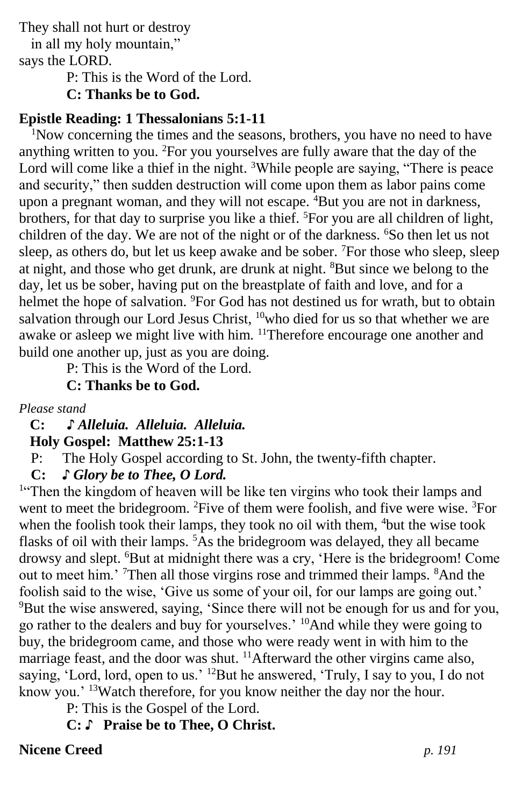They shall not hurt or destroy

in all my holy mountain," says the LORD.

P: This is the Word of the Lord.

**C: Thanks be to God.**

# **Epistle Reading: 1 Thessalonians 5:1-11**

<sup>1</sup>Now concerning the times and the seasons, brothers, you have no need to have anything written to you. <sup>2</sup>For you yourselves are fully aware that the day of the Lord will come like a thief in the night. <sup>3</sup>While people are saying, "There is peace and security," then sudden destruction will come upon them as labor pains come upon a pregnant woman, and they will not escape.  ${}^{4}$ But you are not in darkness, brothers, for that day to surprise you like a thief. <sup>5</sup>For you are all children of light, children of the day. We are not of the night or of the darkness. <sup>6</sup>So then let us not sleep, as others do, but let us keep awake and be sober. <sup>7</sup>For those who sleep, sleep at night, and those who get drunk, are drunk at night. <sup>8</sup>But since we belong to the day, let us be sober, having put on the breastplate of faith and love, and for a helmet the hope of salvation. <sup>9</sup>For God has not destined us for wrath, but to obtain salvation through our Lord Jesus Christ,  $10$ who died for us so that whether we are awake or asleep we might live with him. <sup>11</sup>Therefore encourage one another and build one another up, just as you are doing.

P: This is the Word of the Lord.

**C: Thanks be to God.**

*Please stand*

 **C: ♪** *Alleluia. Alleluia. Alleluia.*  **Holy Gospel: Matthew 25:1-13**

P: The Holy Gospel according to St. John, the twenty-fifth chapter.

**C:** *♪ Glory be to Thee, O Lord.*

<sup>1"</sup>Then the kingdom of heaven will be like ten virgins who took their lamps and went to meet the bridegroom. <sup>2</sup>Five of them were foolish, and five were wise. <sup>3</sup>For when the foolish took their lamps, they took no oil with them, <sup>4</sup>but the wise took flasks of oil with their lamps.  $5\overline{A}$ s the bridegroom was delayed, they all became drowsy and slept. <sup>6</sup>But at midnight there was a cry, 'Here is the bridegroom! Come out to meet him.' <sup>7</sup>Then all those virgins rose and trimmed their lamps. <sup>8</sup>And the foolish said to the wise, 'Give us some of your oil, for our lamps are going out.' <sup>9</sup>But the wise answered, saying, 'Since there will not be enough for us and for you, go rather to the dealers and buy for yourselves.' <sup>10</sup>And while they were going to buy, the bridegroom came, and those who were ready went in with him to the marriage feast, and the door was shut. <sup>11</sup>Afterward the other virgins came also, saying, 'Lord, lord, open to us.' <sup>12</sup>But he answered, 'Truly, I say to you, I do not know you.' <sup>13</sup>Watch therefore, for you know neither the day nor the hour.

P: This is the Gospel of the Lord.

**C:** ♪ **Praise be to Thee, O Christ.**

# **Nicene Creed** *p. 191*